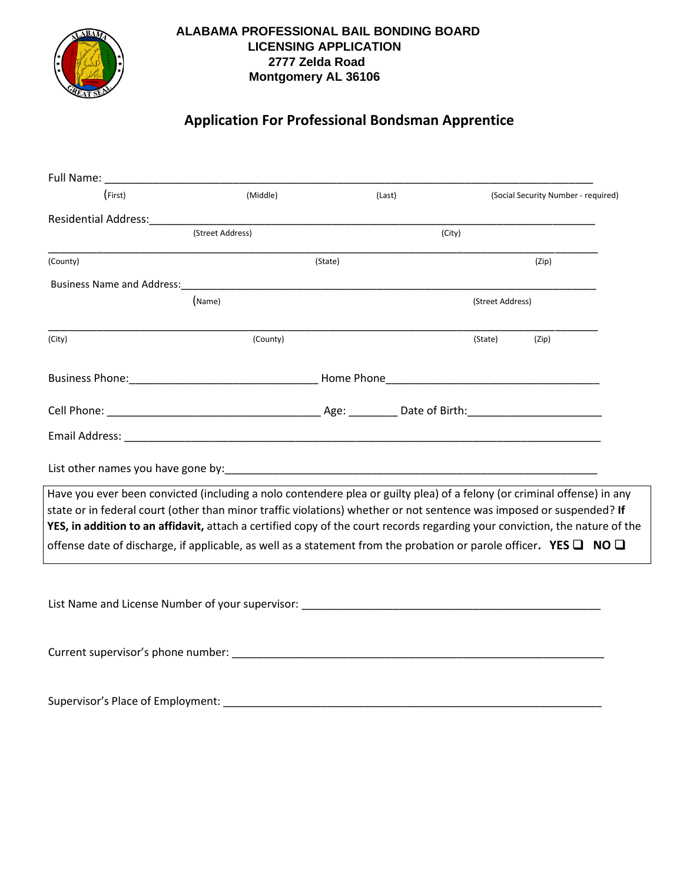

## **ALABAMA PROFESSIONAL BAIL BONDING BOARD LICENSING APPLICATION 2777 Zelda Road Montgomery AL 36106**

## **Application For Professional Bondsman Apprentice**

| (First)                                                                                                                                                                                                                                                                                                                                                                        | (Middle) | (Last) |                  | (Social Security Number - required) |
|--------------------------------------------------------------------------------------------------------------------------------------------------------------------------------------------------------------------------------------------------------------------------------------------------------------------------------------------------------------------------------|----------|--------|------------------|-------------------------------------|
|                                                                                                                                                                                                                                                                                                                                                                                |          |        |                  |                                     |
|                                                                                                                                                                                                                                                                                                                                                                                |          | (City) |                  |                                     |
| (County)                                                                                                                                                                                                                                                                                                                                                                       | (State)  |        |                  | (Zip)                               |
|                                                                                                                                                                                                                                                                                                                                                                                |          |        |                  |                                     |
|                                                                                                                                                                                                                                                                                                                                                                                | (Name)   |        | (Street Address) |                                     |
| (City)                                                                                                                                                                                                                                                                                                                                                                         | (County) |        | (State)          | (Zip)                               |
|                                                                                                                                                                                                                                                                                                                                                                                |          |        |                  |                                     |
|                                                                                                                                                                                                                                                                                                                                                                                |          |        |                  |                                     |
|                                                                                                                                                                                                                                                                                                                                                                                |          |        |                  |                                     |
| List other names you have gone by: example and a series of the series of the series of the series of the series                                                                                                                                                                                                                                                                |          |        |                  |                                     |
| Have you ever been convicted (including a nolo contendere plea or guilty plea) of a felony (or criminal offense) in any<br>state or in federal court (other than minor traffic violations) whether or not sentence was imposed or suspended? If<br>YES, in addition to an affidavit, attach a certified copy of the court records regarding your conviction, the nature of the |          |        |                  |                                     |
| offense date of discharge, if applicable, as well as a statement from the probation or parole officer. YES $\Box$ NO $\Box$                                                                                                                                                                                                                                                    |          |        |                  |                                     |
| List Name and License Number of your supervisor: _______________________________                                                                                                                                                                                                                                                                                               |          |        |                  |                                     |
|                                                                                                                                                                                                                                                                                                                                                                                |          |        |                  |                                     |
| Supervisor's Place of Employment:<br>Supervisor's Place of Employment:                                                                                                                                                                                                                                                                                                         |          |        |                  |                                     |